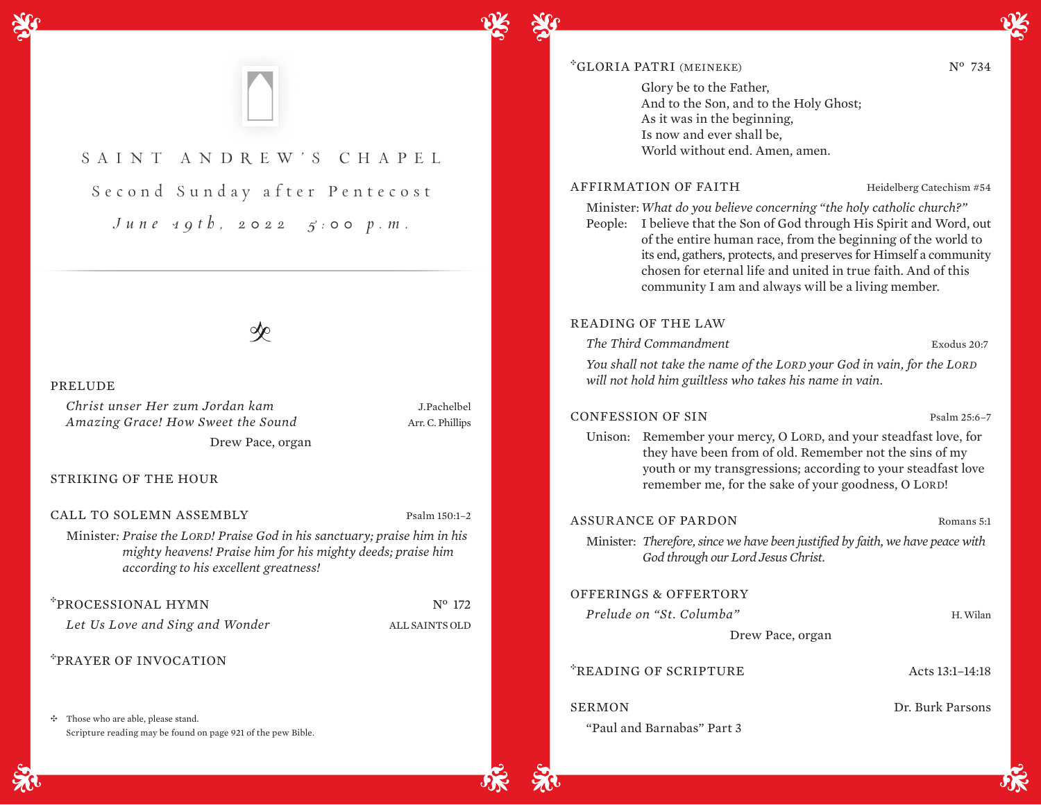

"Paul and Barnabas" Part 3

|  | <b>NOIII</b>       |
|--|--------------------|
|  |                    |
|  | rith wa have negog |

*The Third Commandment* Exodus 20:7 *You shall not take the name of the LORD your God in vain, for the LORD* 

#### PRELUDE

*Christ unser Her zum Jordan kam* J.Pachelbel *Amazing Grace! How Sweet the Sound* Arr. C. Phillips Drew Pace, organ

STRIKING OF THE HOUR

CALL TO SOLEMN ASSEMBLY Psalm 150:1-2

Minister*: Praise the LORD! Praise God in his sanctuary; praise him in his mighty heavens! Praise him for his mighty deeds; praise him according to his excellent greatness!* 

\*PROCESSIONAL HYMN Nº 172

*Let Us Love and Sing and Wonder* ALL SAINTS OLD

<sup>E</sup>PRAYER OF INVOCATION

 $\div$  Those who are able, please stand. Scripture reading may be found on page 921 of the pew Bible.